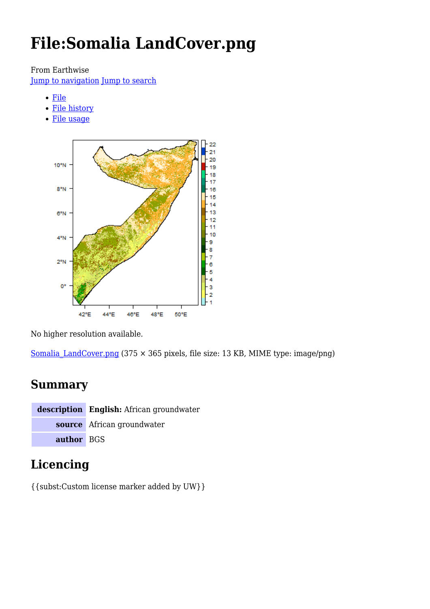# **File:Somalia LandCover.png**

From Earthwise

[Jump to navigation](#page--1-0) [Jump to search](#page--1-0)

- [File](#page--1-0)
- [File history](#page--1-0)
- [File usage](#page--1-0)



No higher resolution available.

Somalia LandCover.png (375  $\times$  365 pixels, file size: 13 KB, MIME type: image/png)

# **Summary**

**description English:** African groundwater **source** African groundwater **author** BGS

# **Licencing**

{{subst:Custom license marker added by UW}}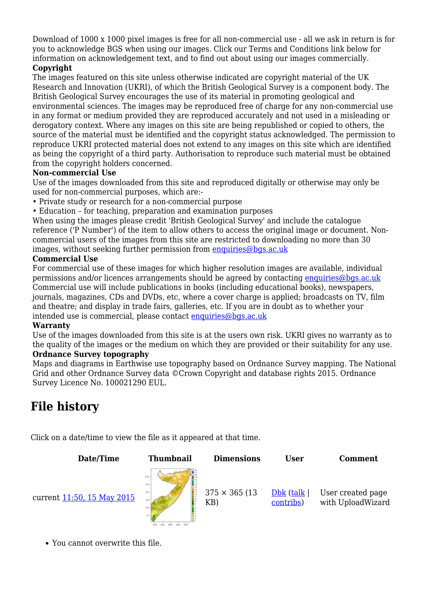Download of 1000 x 1000 pixel images is free for all non-commercial use - all we ask in return is for you to acknowledge BGS when using our images. Click our Terms and Conditions link below for information on acknowledgement text, and to find out about using our images commercially.

#### **Copyright**

The images featured on this site unless otherwise indicated are copyright material of the UK Research and Innovation (UKRI), of which the British Geological Survey is a component body. The British Geological Survey encourages the use of its material in promoting geological and environmental sciences. The images may be reproduced free of charge for any non-commercial use in any format or medium provided they are reproduced accurately and not used in a misleading or derogatory context. Where any images on this site are being republished or copied to others, the source of the material must be identified and the copyright status acknowledged. The permission to reproduce UKRI protected material does not extend to any images on this site which are identified as being the copyright of a third party. Authorisation to reproduce such material must be obtained from the copyright holders concerned.

#### **Non-commercial Use**

Use of the images downloaded from this site and reproduced digitally or otherwise may only be used for non-commercial purposes, which are:-

- Private study or research for a non-commercial purpose
- Education for teaching, preparation and examination purposes

When using the images please credit 'British Geological Survey' and include the catalogue reference ('P Number') of the item to allow others to access the original image or document. Noncommercial users of the images from this site are restricted to downloading no more than 30 images, without seeking further permission from [enquiries@bgs.ac.uk](mailto:enquiries@bgs.ac.uk)

#### **Commercial Use**

For commercial use of these images for which higher resolution images are available, individual permissions and/or licences arrangements should be agreed by contacting [enquiries@bgs.ac.uk](mailto:enquiries@bgs.ac.uk) Commercial use will include publications in books (including educational books), newspapers, journals, magazines, CDs and DVDs, etc, where a cover charge is applied; broadcasts on TV, film and theatre; and display in trade fairs, galleries, etc. If you are in doubt as to whether your intended use is commercial, please contact [enquiries@bgs.ac.uk](mailto:enquiries@bgs.ac.uk)

#### **Warranty**

Use of the images downloaded from this site is at the users own risk. UKRI gives no warranty as to the quality of the images or the medium on which they are provided or their suitability for any use. **Ordnance Survey topography**

Maps and diagrams in Earthwise use topography based on Ordnance Survey mapping. The National Grid and other Ordnance Survey data ©Crown Copyright and database rights 2015. Ordnance Survey Licence No. 100021290 EUL.

# **File history**

Click on a date/time to view the file as it appeared at that time.



You cannot overwrite this file.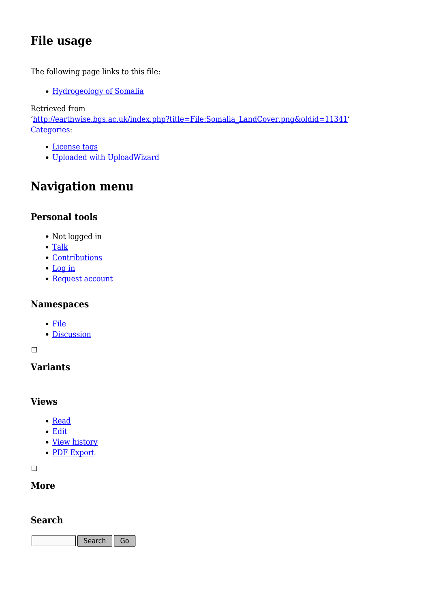# **File usage**

The following page links to this file:

• [Hydrogeology of Somalia](http://earthwise.bgs.ac.uk/index.php/Hydrogeology_of_Somalia)

Retrieved from

'[http://earthwise.bgs.ac.uk/index.php?title=File:Somalia\\_LandCover.png&oldid=11341](http://earthwise.bgs.ac.uk/index.php?title=File:Somalia_LandCover.png&oldid=11341)' [Categories:](http://earthwise.bgs.ac.uk/index.php/Special:Categories)

- [License tags](http://earthwise.bgs.ac.uk/index.php/Category:License_tags)
- [Uploaded with UploadWizard](http://earthwise.bgs.ac.uk/index.php/Category:Uploaded_with_UploadWizard)

# **Navigation menu**

### **Personal tools**

- Not logged in
- [Talk](http://earthwise.bgs.ac.uk/index.php/Special:MyTalk)
- [Contributions](http://earthwise.bgs.ac.uk/index.php/Special:MyContributions)
- [Log in](http://earthwise.bgs.ac.uk/index.php?title=Special:UserLogin&returnto=File%3ASomalia+LandCover.png&returntoquery=action%3Dmpdf)
- [Request account](http://earthwise.bgs.ac.uk/index.php/Special:RequestAccount)

### **Namespaces**

- [File](http://earthwise.bgs.ac.uk/index.php/File:Somalia_LandCover.png)
- [Discussion](http://earthwise.bgs.ac.uk/index.php?title=File_talk:Somalia_LandCover.png&action=edit&redlink=1)

#### $\overline{\phantom{a}}$

## **Variants**

#### **Views**

- [Read](http://earthwise.bgs.ac.uk/index.php/File:Somalia_LandCover.png)
- [Edit](http://earthwise.bgs.ac.uk/index.php?title=File:Somalia_LandCover.png&action=edit)
- [View history](http://earthwise.bgs.ac.uk/index.php?title=File:Somalia_LandCover.png&action=history)
- [PDF Export](http://earthwise.bgs.ac.uk/index.php?title=File:Somalia_LandCover.png&action=mpdf)

 $\overline{\phantom{a}}$ 

### **More**

### **Search**

Search  $\parallel$  Go